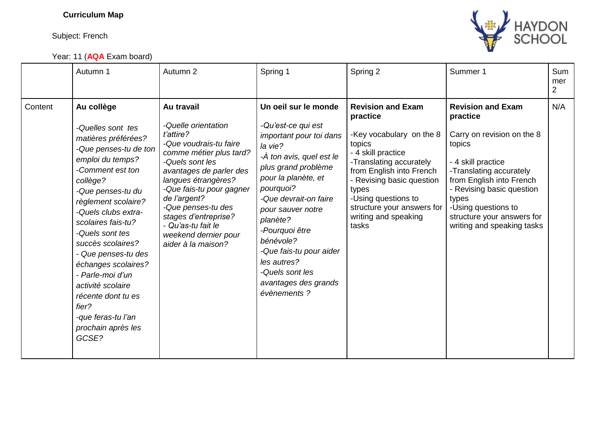## **Curriculum Map**

Subject: French

Year: 11 (**AQA** Exam board)



|         | Autumn 1                                                                                                                                                                                                                                                                                                                                                                                                                                        | Autumn 2                                                                                                                                                                                                                                                                                                                               | Spring 1                                                                                                                                                                                                                                                                                                                                                                     | Spring 2                                                                                                                                                                                                                                                                            | Summer 1                                                                                                                                                                                                                                                                           | Sum<br>mer<br>$\overline{2}$ |
|---------|-------------------------------------------------------------------------------------------------------------------------------------------------------------------------------------------------------------------------------------------------------------------------------------------------------------------------------------------------------------------------------------------------------------------------------------------------|----------------------------------------------------------------------------------------------------------------------------------------------------------------------------------------------------------------------------------------------------------------------------------------------------------------------------------------|------------------------------------------------------------------------------------------------------------------------------------------------------------------------------------------------------------------------------------------------------------------------------------------------------------------------------------------------------------------------------|-------------------------------------------------------------------------------------------------------------------------------------------------------------------------------------------------------------------------------------------------------------------------------------|------------------------------------------------------------------------------------------------------------------------------------------------------------------------------------------------------------------------------------------------------------------------------------|------------------------------|
| Content | Au collège<br>-Quelles sont tes<br>matières préférées?<br>-Que penses-tu de ton<br>emploi du temps?<br>-Comment est ton<br>collège?<br>-Que penses-tu du<br>règlement scolaire?<br>-Quels clubs extra-<br>scolaires fais-tu?<br>-Quels sont tes<br>succès scolaires?<br>- Que penses-tu des<br>échanges scolaires?<br>- Parle-moi d'un<br>activité scolaire<br>récente dont tu es<br>fier?<br>-que feras-tu l'an<br>prochain après les<br>GCSE? | Au travail<br>-Quelle orientation<br>t'attire?<br>-Que voudrais-tu faire<br>comme métier plus tard?<br>-Quels sont les<br>avantages de parler des<br>langues étrangères?<br>-Que fais-tu pour gagner<br>de l'argent?<br>-Que penses-tu des<br>stages d'entreprise?<br>- Qu'as-tu fait le<br>weekend dernier pour<br>aider à la maison? | Un oeil sur le monde<br>-Qu'est-ce qui est<br><i>important pour toi dans</i><br>la vie?<br>-À ton avis, quel est le<br>plus grand problème<br>pour la planète, et<br>pourquoi?<br>-Que devrait-on faire<br>pour sauver notre<br>planète?<br>-Pourquoi être<br>bénévole?<br>-Que fais-tu pour aider<br>les autres?<br>-Quels sont les<br>avantages des grands<br>évènements ? | <b>Revision and Exam</b><br>practice<br>-Key vocabulary on the 8<br>topics<br>- 4 skill practice<br>-Translating accurately<br>from English into French<br>- Revising basic question<br>types<br>-Using questions to<br>structure your answers for<br>writing and speaking<br>tasks | <b>Revision and Exam</b><br>practice<br>Carry on revision on the 8<br>topics<br>- 4 skill practice<br>-Translating accurately<br>from English into French<br>- Revising basic question<br>types<br>-Using questions to<br>structure your answers for<br>writing and speaking tasks | N/A                          |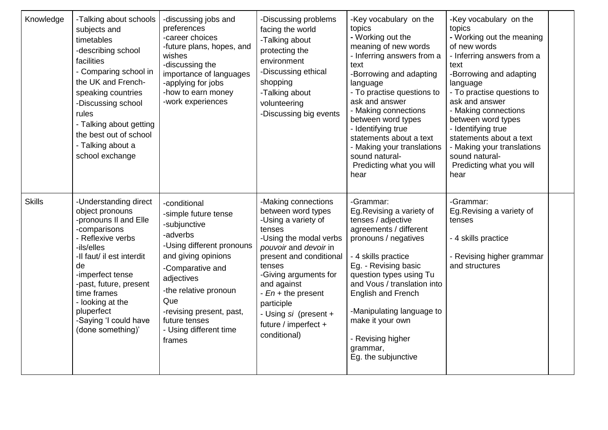| Knowledge     | -Talking about schools<br>subjects and<br>timetables<br>-describing school<br>facilities<br>- Comparing school in<br>the UK and French-<br>speaking countries<br>-Discussing school<br>rules<br>- Talking about getting<br>the best out of school<br>- Talking about a<br>school exchange            | -discussing jobs and<br>preferences<br>-career choices<br>-future plans, hopes, and<br>wishes<br>-discussing the<br>importance of languages<br>-applying for jobs<br>-how to earn money<br>-work experiences                                                            | -Discussing problems<br>facing the world<br>-Talking about<br>protecting the<br>environment<br>-Discussing ethical<br>shopping<br>-Talking about<br>volunteering<br>-Discussing big events                                                                                                                      | -Key vocabulary on the<br>topics<br>- Working out the<br>meaning of new words<br>- Inferring answers from a<br>text<br>-Borrowing and adapting<br>language<br>- To practise questions to<br>ask and answer<br>- Making connections<br>between word types<br>- Identifying true<br>statements about a text<br>- Making your translations<br>sound natural-<br>Predicting what you will<br>hear | -Key vocabulary on the<br>topics<br>- Working out the meaning<br>of new words<br>- Inferring answers from a<br>text<br>-Borrowing and adapting<br>language<br>- To practise questions to<br>ask and answer<br>- Making connections<br>between word types<br>- Identifying true<br>statements about a text<br>- Making your translations<br>sound natural-<br>Predicting what you will<br>hear |  |
|---------------|------------------------------------------------------------------------------------------------------------------------------------------------------------------------------------------------------------------------------------------------------------------------------------------------------|-------------------------------------------------------------------------------------------------------------------------------------------------------------------------------------------------------------------------------------------------------------------------|-----------------------------------------------------------------------------------------------------------------------------------------------------------------------------------------------------------------------------------------------------------------------------------------------------------------|-----------------------------------------------------------------------------------------------------------------------------------------------------------------------------------------------------------------------------------------------------------------------------------------------------------------------------------------------------------------------------------------------|-----------------------------------------------------------------------------------------------------------------------------------------------------------------------------------------------------------------------------------------------------------------------------------------------------------------------------------------------------------------------------------------------|--|
| <b>Skills</b> | -Understanding direct<br>object pronouns<br>-pronouns II and Elle<br>-comparisons<br>- Reflexive verbs<br>-ils/elles<br>-Il faut/ il est interdit<br>de<br>-imperfect tense<br>-past, future, present<br>time frames<br>- looking at the<br>pluperfect<br>-Saying 'I could have<br>(done something)' | -conditional<br>-simple future tense<br>-subjunctive<br>-adverbs<br>-Using different pronouns<br>and giving opinions<br>-Comparative and<br>adjectives<br>-the relative pronoun<br>Que<br>-revising present, past,<br>future tenses<br>- Using different time<br>frames | -Making connections<br>between word types<br>-Using a variety of<br>tenses<br>-Using the modal verbs<br>pouvoir and devoir in<br>present and conditional<br>tenses<br>-Giving arguments for<br>and against<br>- En + the present<br>participle<br>- Using si (present +<br>future / imperfect +<br>conditional) | -Grammar:<br>Eg. Revising a variety of<br>tenses / adjective<br>agreements / different<br>pronouns / negatives<br>- 4 skills practice<br>Eg. - Revising basic<br>question types using Tu<br>and Vous / translation into<br>English and French<br>-Manipulating language to<br>make it your own<br>- Revising higher<br>grammar,<br>Eg. the subjunctive                                        | -Grammar:<br>Eg. Revising a variety of<br>tenses<br>- 4 skills practice<br>- Revising higher grammar<br>and structures                                                                                                                                                                                                                                                                        |  |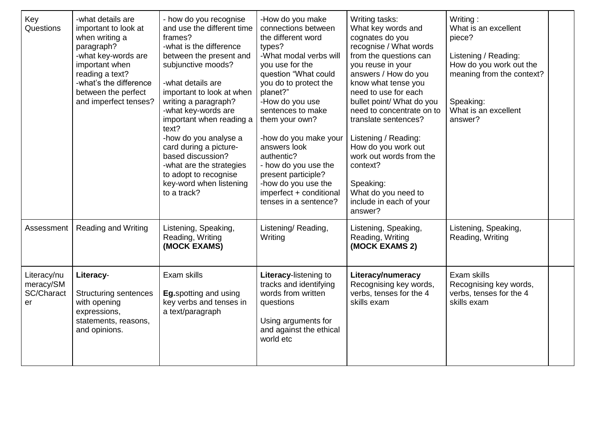| Key<br>Questions                             | -what details are<br>important to look at<br>when writing a<br>paragraph?<br>-what key-words are<br>important when<br>reading a text?<br>-what's the difference<br>between the perfect<br>and imperfect tenses? | - how do you recognise<br>and use the different time<br>frames?<br>-what is the difference<br>between the present and<br>subjunctive moods?<br>-what details are<br>important to look at when<br>writing a paragraph?<br>-what key-words are<br>important when reading a<br>text?<br>-how do you analyse a<br>card during a picture-<br>based discussion?<br>-what are the strategies<br>to adopt to recognise<br>key-word when listening<br>to a track? | -How do you make<br>connections between<br>the different word<br>types?<br>-What modal verbs will<br>you use for the<br>question "What could<br>you do to protect the<br>planet?"<br>-How do you use<br>sentences to make<br>them your own?<br>-how do you make your<br>answers look<br>authentic?<br>- how do you use the<br>present participle?<br>-how do you use the<br>imperfect + conditional<br>tenses in a sentence? | Writing tasks:<br>What key words and<br>cognates do you<br>recognise / What words<br>from the questions can<br>you reuse in your<br>answers / How do you<br>know what tense you<br>need to use for each<br>bullet point/ What do you<br>need to concentrate on to<br>translate sentences?<br>Listening / Reading:<br>How do you work out<br>work out words from the<br>context?<br>Speaking:<br>What do you need to<br>include in each of your<br>answer? | Writing:<br>What is an excellent<br>piece?<br>Listening / Reading:<br>How do you work out the<br>meaning from the context?<br>Speaking:<br>What is an excellent<br>answer? |  |
|----------------------------------------------|-----------------------------------------------------------------------------------------------------------------------------------------------------------------------------------------------------------------|----------------------------------------------------------------------------------------------------------------------------------------------------------------------------------------------------------------------------------------------------------------------------------------------------------------------------------------------------------------------------------------------------------------------------------------------------------|------------------------------------------------------------------------------------------------------------------------------------------------------------------------------------------------------------------------------------------------------------------------------------------------------------------------------------------------------------------------------------------------------------------------------|-----------------------------------------------------------------------------------------------------------------------------------------------------------------------------------------------------------------------------------------------------------------------------------------------------------------------------------------------------------------------------------------------------------------------------------------------------------|----------------------------------------------------------------------------------------------------------------------------------------------------------------------------|--|
| Assessment                                   | <b>Reading and Writing</b>                                                                                                                                                                                      | Listening, Speaking,<br>Reading, Writing<br>(MOCK EXAMS)                                                                                                                                                                                                                                                                                                                                                                                                 | Listening/Reading,<br>Writing                                                                                                                                                                                                                                                                                                                                                                                                | Listening, Speaking,<br>Reading, Writing<br>(MOCK EXAMS 2)                                                                                                                                                                                                                                                                                                                                                                                                | Listening, Speaking,<br>Reading, Writing                                                                                                                                   |  |
| Literacy/nu<br>meracy/SM<br>SC/Charact<br>er | Literacy-<br><b>Structuring sentences</b><br>with opening<br>expressions,<br>statements, reasons,<br>and opinions.                                                                                              | Exam skills<br><b>Eg.spotting and using</b><br>key verbs and tenses in<br>a text/paragraph                                                                                                                                                                                                                                                                                                                                                               | Literacy-listening to<br>tracks and identifying<br>words from written<br>questions<br>Using arguments for<br>and against the ethical<br>world etc                                                                                                                                                                                                                                                                            | <b>Literacy/numeracy</b><br>Recognising key words,<br>verbs, tenses for the 4<br>skills exam                                                                                                                                                                                                                                                                                                                                                              | Exam skills<br>Recognising key words,<br>verbs, tenses for the 4<br>skills exam                                                                                            |  |